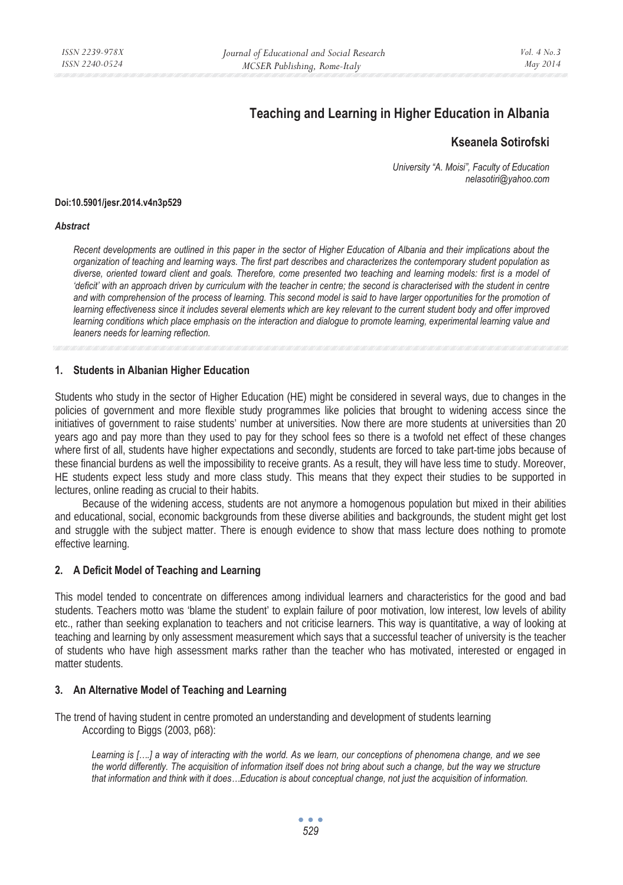# **Teaching and Learning in Higher Education in Albania**

## **Kseanela Sotirofski**

*University "A. Moisi", Faculty of Education nelasotiri@yahoo.com* 

#### **Doi:10.5901/jesr.2014.v4n3p529**

#### *Abstract*

*Recent developments are outlined in this paper in the sector of Higher Education of Albania and their implications about the organization of teaching and learning ways. The first part describes and characterizes the contemporary student population as diverse, oriented toward client and goals. Therefore, come presented two teaching and learning models: first is a model of*  'deficit' with an approach driven by curriculum with the teacher in centre; the second is characterised with the student in centre and with comprehension of the process of learning. This second model is said to have larger opportunities for the promotion of *learning effectiveness since it includes several elements which are key relevant to the current student body and offer improved* learning conditions which place emphasis on the interaction and dialogue to promote learning, experimental learning value and *leaners needs for learning reflection.* 

## **1. Students in Albanian Higher Education**

Students who study in the sector of Higher Education (HE) might be considered in several ways, due to changes in the policies of government and more flexible study programmes like policies that brought to widening access since the initiatives of government to raise students' number at universities. Now there are more students at universities than 20 years ago and pay more than they used to pay for they school fees so there is a twofold net effect of these changes where first of all, students have higher expectations and secondly, students are forced to take part-time jobs because of these financial burdens as well the impossibility to receive grants. As a result, they will have less time to study. Moreover, HE students expect less study and more class study. This means that they expect their studies to be supported in lectures, online reading as crucial to their habits.

Because of the widening access, students are not anymore a homogenous population but mixed in their abilities and educational, social, economic backgrounds from these diverse abilities and backgrounds, the student might get lost and struggle with the subject matter. There is enough evidence to show that mass lecture does nothing to promote effective learning.

## **2. A Deficit Model of Teaching and Learning**

This model tended to concentrate on differences among individual learners and characteristics for the good and bad students. Teachers motto was 'blame the student' to explain failure of poor motivation, low interest, low levels of ability etc., rather than seeking explanation to teachers and not criticise learners. This way is quantitative, a way of looking at teaching and learning by only assessment measurement which says that a successful teacher of university is the teacher of students who have high assessment marks rather than the teacher who has motivated, interested or engaged in matter students.

## **3. An Alternative Model of Teaching and Learning**

The trend of having student in centre promoted an understanding and development of students learning According to Biggs (2003, p68):

*Learning is [….] a way of interacting with the world. As we learn, our conceptions of phenomena change, and we see the world differently. The acquisition of information itself does not bring about such a change, but the way we structure that information and think with it does…Education is about conceptual change, not just the acquisition of information.* 

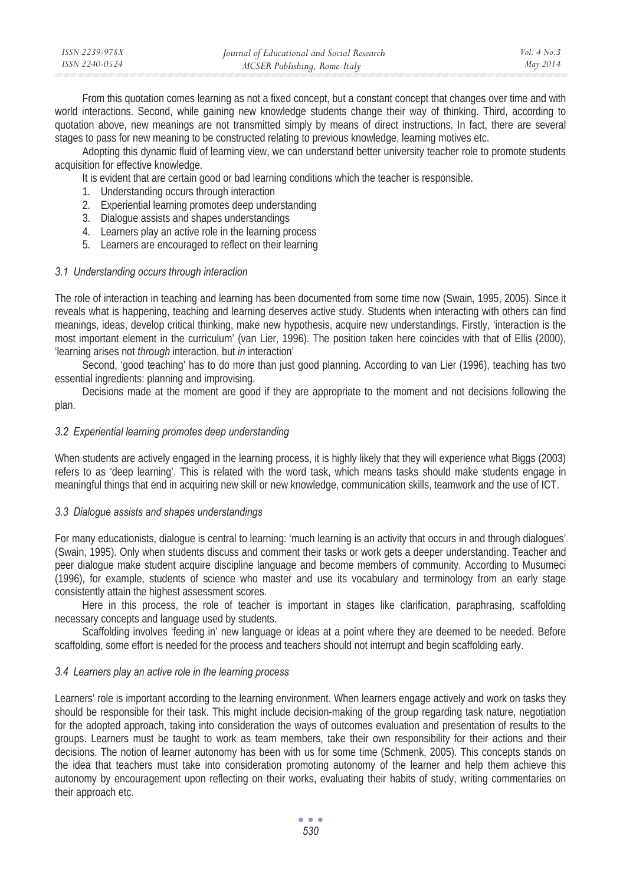| ISSN 2239-978X | Journal of Educational and Social Research | Vol. $4$ No. $3$ |
|----------------|--------------------------------------------|------------------|
| ISSN 2240-0524 | MCSER Publishing, Rome-Italy               | May 2014         |

From this quotation comes learning as not a fixed concept, but a constant concept that changes over time and with world interactions. Second, while gaining new knowledge students change their way of thinking. Third, according to quotation above, new meanings are not transmitted simply by means of direct instructions. In fact, there are several stages to pass for new meaning to be constructed relating to previous knowledge, learning motives etc.

Adopting this dynamic fluid of learning view, we can understand better university teacher role to promote students acquisition for effective knowledge.

It is evident that are certain good or bad learning conditions which the teacher is responsible.

- 1. Understanding occurs through interaction
- 2. Experiential learning promotes deep understanding
- 3. Dialogue assists and shapes understandings
- 4. Learners play an active role in the learning process
- 5. Learners are encouraged to reflect on their learning

## *3.1 Understanding occurs through interaction*

The role of interaction in teaching and learning has been documented from some time now (Swain, 1995, 2005). Since it reveals what is happening, teaching and learning deserves active study. Students when interacting with others can find meanings, ideas, develop critical thinking, make new hypothesis, acquire new understandings. Firstly, 'interaction is the most important element in the curriculum' (van Lier, 1996). The position taken here coincides with that of Ellis (2000), 'learning arises not *through* interaction, but *in* interaction'

Second, 'good teaching' has to do more than just good planning. According to van Lier (1996), teaching has two essential ingredients: planning and improvising.

Decisions made at the moment are good if they are appropriate to the moment and not decisions following the plan.

## *3.2 Experiential learning promotes deep understanding*

When students are actively engaged in the learning process, it is highly likely that they will experience what Biggs (2003) refers to as 'deep learning'. This is related with the word task, which means tasks should make students engage in meaningful things that end in acquiring new skill or new knowledge, communication skills, teamwork and the use of ICT.

## *3.3 Dialogue assists and shapes understandings*

For many educationists, dialogue is central to learning: 'much learning is an activity that occurs in and through dialogues' (Swain, 1995). Only when students discuss and comment their tasks or work gets a deeper understanding. Teacher and peer dialogue make student acquire discipline language and become members of community. According to Musumeci (1996), for example, students of science who master and use its vocabulary and terminology from an early stage consistently attain the highest assessment scores.

Here in this process, the role of teacher is important in stages like clarification, paraphrasing, scaffolding necessary concepts and language used by students.

Scaffolding involves 'feeding in' new language or ideas at a point where they are deemed to be needed. Before scaffolding, some effort is needed for the process and teachers should not interrupt and begin scaffolding early.

#### *3.4 Learners play an active role in the learning process*

Learners' role is important according to the learning environment. When learners engage actively and work on tasks they should be responsible for their task. This might include decision-making of the group regarding task nature, negotiation for the adopted approach, taking into consideration the ways of outcomes evaluation and presentation of results to the groups. Learners must be taught to work as team members, take their own responsibility for their actions and their decisions. The notion of learner autonomy has been with us for some time (Schmenk, 2005). This concepts stands on the idea that teachers must take into consideration promoting autonomy of the learner and help them achieve this autonomy by encouragement upon reflecting on their works, evaluating their habits of study, writing commentaries on their approach etc.